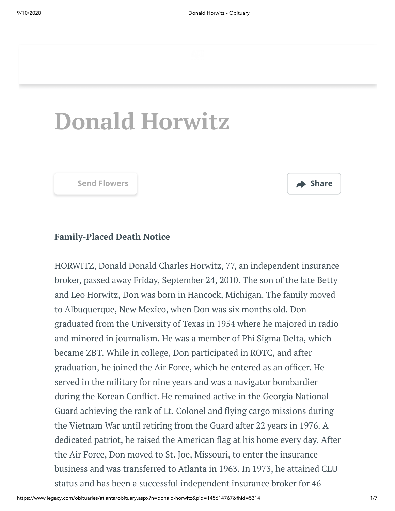

# **Donald Horwitz**



#### **Family-Placed Death Notice**

HORWITZ, Donald Donald Charles Horwitz, 77, an independent insurance broker, passed away Friday, September 24, 2010. The son of the late Betty and Leo Horwitz, Don was born in Hancock, Michigan. The family moved to Albuquerque, New Mexico, when Don was six months old. Don graduated from the University of Texas in 1954 where he majored in radio and minored in journalism. He was a member of Phi Sigma Delta, which became ZBT. While in college, Don participated in ROTC, and after graduation, he joined the Air Force, which he entered as an officer. He served in the military for nine years and was a navigator bombardier during the Korean Conflict. He remained active in the Georgia National Guard achieving the rank of Lt. Colonel and flying cargo missions during the Vietnam War until retiring from the Guard after 22 years in 1976. A dedicated patriot, he raised the American flag at his home every day. After the Air Force, Don moved to St. Joe, Missouri, to enter the insurance business and was transferred to Atlanta in 1963. In 1973, he attained CLU status and has been a successful independent insurance broker for 46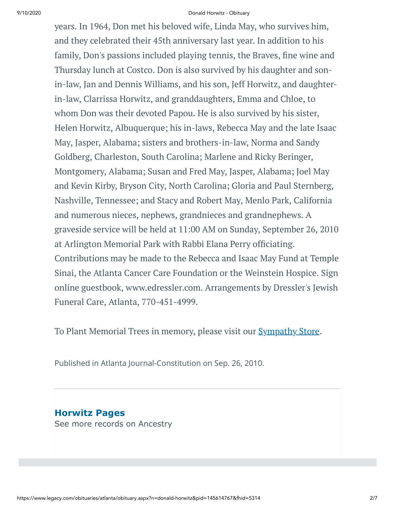#### 9/10/2020 Donald Horwitz - Obituary

years. In 1964, Don met his beloved wife, Linda May, who survives him, and they celebrated their 45th anniversary last year. In addition to his family, Don's passions included playing tennis, the Braves, fine wine and Thursday lunch at Costco. Don is also survived by his daughter and sonin-law, Jan and Dennis Williams, and his son, Jeff Horwitz, and daughterin-law, Clarrissa Horwitz, and granddaughters, Emma and Chloe, to whom Don was their devoted Papou. He is also survived by his sister, Helen Horwitz, Albuquerque; his in-laws, Rebecca May and the late Isaac May, Jasper, Alabama; sisters and brothers-in-law, Norma and Sandy Goldberg, Charleston, South Carolina; Marlene and Ricky Beringer, Montgomery, Alabama; Susan and Fred May, Jasper, Alabama; Joel May and Kevin Kirby, Bryson City, North Carolina; Gloria and Paul Sternberg, Nashville, Tennessee; and Stacy and Robert May, Menlo Park, California and numerous nieces, nephews, grandnieces and grandnephews. A graveside service will be held at 11:00 AM on Sunday, September 26, 2010 at Arlington Memorial Park with Rabbi Elana Perry officiating. Contributions may be made to the Rebecca and Isaac May Fund at Temple Sinai, the Atlanta Cancer Care Foundation or the Weinstein Hospice. Sign online guestbook, www.edressler.com. Arrangements by Dressler's Jewish Funeral Care, Atlanta, 770-451-4999.

To Plant Memorial Trees in memory, please visit our **[Sympathy](https://sympathy.legacy.com/en-us/funeral-flowers/name/donald-horwitz-funeral-flowers/p145614767/?affiliateId=1031&pm=240) Store**.

Published in Atlanta Journal-Constitution on Sep. 26, 2010.

**Horwitz Pages** [See more records on Ancestry](https://adclick.g.doubleclick.net/pcs/click?xai=AKAOjsse0HKVde5j2K_1SqMwlCpqBq4JD7znl_LEJVPJBBlbImv9AsLTMiyiqiEs6A4zucE5NPMc_Py0pMSCACA3bKqVMbkMRAAjBD0hyVjJoPRyMYsaNZTJo7yf98pVya1nknBNbh81LDLlrxNGA6ljLYlHgdfCiXGKa6k1pxKuzfr02-fLrz8MziaK4l6KkshfGQgrCQHnXEgiDF9pmBHdBjdP9wuwGY4MGXhEcK4mzFHFPxG2ap2Eytdd5Dk44pSntbrSzo3l1GBFXeTdDk0knvXJE8SnFlJ-OdS9gBztVQneUKeDxJl9oA&sig=Cg0ArKJSzFY-4P0peDCYEAE&urlfix=1&adurl=https://prf.hn/click/camref:1101l3yjc/adref:77841/destination:https://www.ancestry.com/cs/partner-records%3FflowId%3DpartnersBirth%26gsfn%3DDonald%26gsln%3DHorwitz)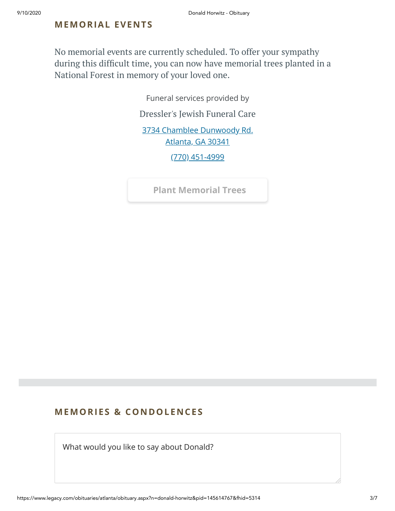#### **MEMORIAL EVENTS**

No memorial events are currently scheduled. To offer your sympathy during this difficult time, you can now have memorial trees planted in a National Forest in memory of your loved one.

Funeral services provided by

[Dressler's](http://www.jewishfuneralcare.com/index.html) Jewish Funeral Care

[3734 Chamblee Dunwoody Rd.](https://maps.google.com/?q=3734%20Chamblee%20Dunwoody%20Rd.%20Atlanta,%20GA%2030341) Atlanta, GA 30341

[\(770\) 451-4999](tel:7704514999)

**[Plant Memorial Trees](https://sympathy.legacy.com/en-us/funeral-flowers/name/donald-horwitz-funeral-flowers/p145614767/?affiliateId=1031&pm=271)**

#### **MEMORIES & CO N DOLE N CES**

What would you like to say about Donald?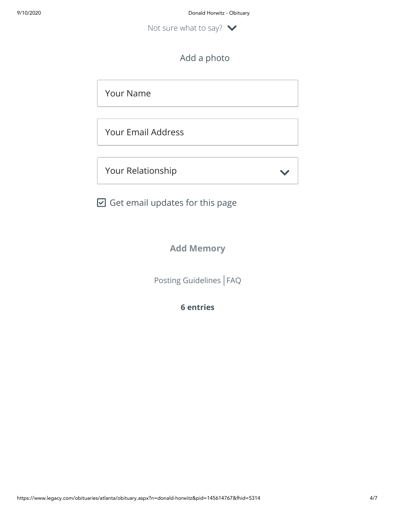Not sure what to say?  $\vee$ 

# Add a photo

Your Name

Your Email Address

Your Relationship

 $\blacktriangleright$ 

 $\boxdot$  Get email updates for this page

**Add Memory**

[Posting Guidelines](https://www.legacy.com/guestbooks/posting-guidelines.aspx?n=Donald-Horwitz&pid=145614767) | [FAQ](https://www.legacy.com/guestbooks/faq.aspx?n=Donald-Horwitz&pid=145614767)

**6 entries**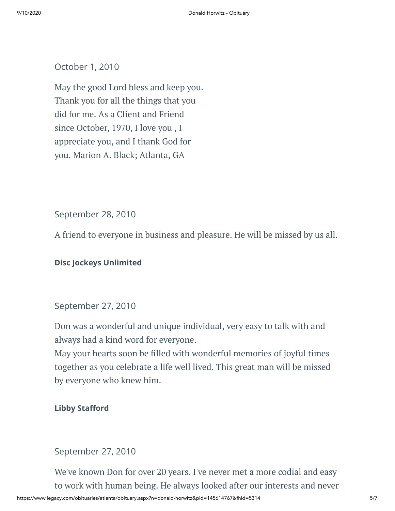#### October 1, 2010

May the good Lord bless and keep you. Thank you for all the things that you did for me. As a Client and Friend since October, 1970, I love you , I appreciate you, and I thank God for you. Marion A. Black; Atlanta, GA

September 28, 2010

A friend to everyone in business and pleasure. He will be missed by us all.

#### **Disc Jockeys Unlimited**

#### September 27, 2010

Don was a wonderful and unique individual, very easy to talk with and always had a kind word for everyone.

May your hearts soon be filled with wonderful memories of joyful times together as you celebrate a life well lived. This great man will be missed by everyone who knew him.

#### **Libby Stafford**

#### September 27, 2010

We've known Don for over 20 years. I've never met a more codial and easy to work with human being. He always looked after our interests and never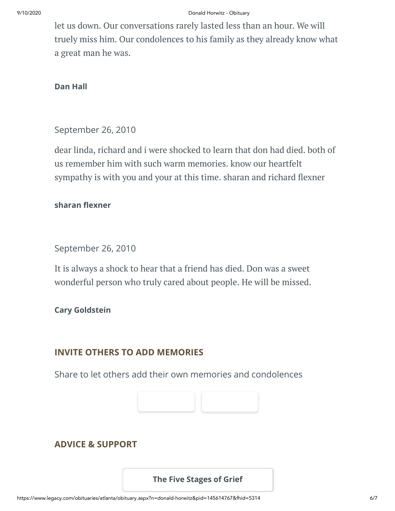let us down. Our conversations rarely lasted less than an hour. We will truely miss him. Our condolences to his family as they already know what a great man he was.

#### **Dan Hall**

#### September 26, 2010

dear linda, richard and i were shocked to learn that don had died. both of us remember him with such warm memories. know our heartfelt sympathy is with you and your at this time. sharan and richard flexner

#### **sharan flexner**

September 26, 2010

It is always a shock to hear that a friend has died. Don was a sweet wonderful person who truly cared about people. He will be missed.

#### **Cary Goldstein**

### **INVITE OTHERS TO ADD MEMORIES**

Share to let others add their own memories and condolences



## **ADVICE & SUPPORT**

#### **[The Five Stages of Grief](https://www.legacy.com/news/advice-and-support/article/the-five-stages-of-grief)**